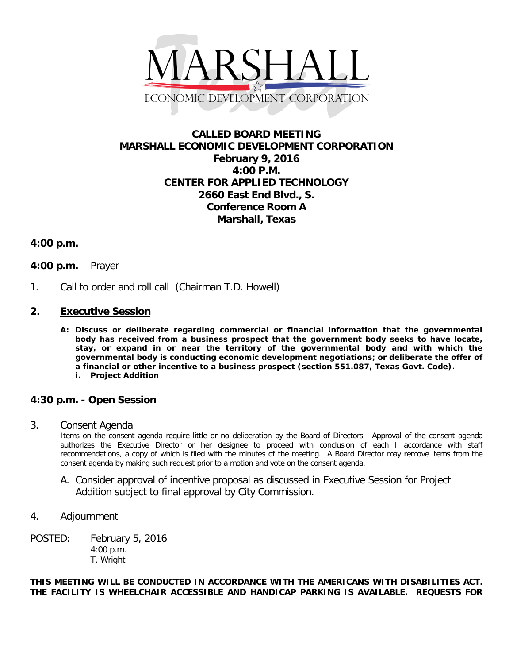

# **CALLED BOARD MEETING MARSHALL ECONOMIC DEVELOPMENT CORPORATION February 9, 2016 4:00 P.M. CENTER FOR APPLIED TECHNOLOGY 2660 East End Blvd., S. Conference Room A Marshall, Texas**

### **4:00 p.m.**

### **4:00 p.m.** Prayer

1. Call to order and roll call (Chairman T.D. Howell)

### **2. Executive Session**

**A: Discuss or deliberate regarding commercial or financial information that the governmental body has received from a business prospect that the government body seeks to have locate, stay, or expand in or near the territory of the governmental body and with which the governmental body is conducting economic development negotiations; or deliberate the offer of a financial or other incentive to a business prospect (section 551.087, Texas Govt. Code). i. Project Addition**

## **4:30 p.m. - Open Session**

3. Consent Agenda

Items on the consent agenda require little or no deliberation by the Board of Directors. Approval of the consent agenda authorizes the Executive Director or her designee to proceed with conclusion of each I accordance with staff recommendations, a copy of which is filed with the minutes of the meeting. A Board Director may remove items from the consent agenda by making such request prior to a motion and vote on the consent agenda.

A. Consider approval of incentive proposal as discussed in Executive Session for Project Addition subject to final approval by City Commission.

### 4. Adjournment

POSTED: February 5, 2016 4:00 p.m. T. Wright

#### **THIS MEETING WILL BE CONDUCTED IN ACCORDANCE WITH THE AMERICANS WITH DISABILITIES ACT. THE FACILITY IS WHEELCHAIR ACCESSIBLE AND HANDICAP PARKING IS AVAILABLE. REQUESTS FOR**